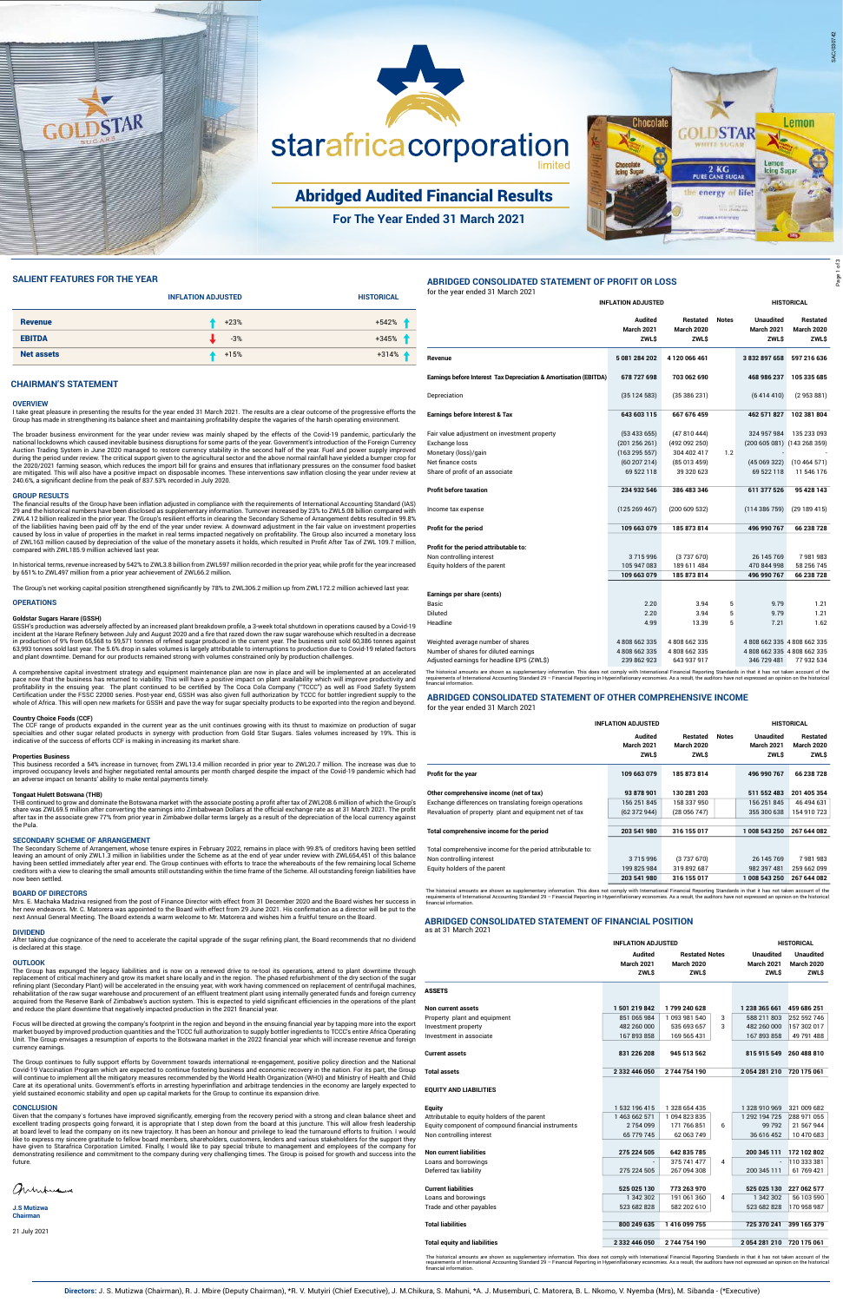

### **CHAIRMAN'S STATEMENT**

#### **OVERVIEW**

I take great pleasure in presenting the results for the year ended 31 March 2021. The results are a clear outcome of the progressive efforts the Group has made in strengthening its balance sheet and maintaining profitability despite the vagaries of the harsh operating environment.

The broader business environment for the year under review was mainly shaped by the effects of the Covid-19 pandemic, particularly the national lockdowns which caused inevitable business disruptions for some parts of the year. Government's introduction of the Foreign Currency Auction Trading System in June 2020 managed to restore currency stability in the second half of the year. Fuel and power supply improved during the period under review. The critical support given to the agricultural sector and the above normal rainfall have yielded a bumper crop for the 2020/2021 farming season, which reduces the import bill for grains and ensures that inflationary pressures on the consumer food basket are mitigated. This will also have a positive impact on disposable incomes. These interventions saw inflation closing the year under review at 240.6%, a significant decline from the peak of 837.53% recorded in July 2020.

#### **GROUP RESULTS**

The financial results of the Group have been inflation adjusted in compliance with the requirements of International Accounting Standard (IAS) 29 and the historical numbers have been disclosed as supplementary information. Turnover increased by 23% to ZWL5.08 billion compared with ZWL4.12 billion realized in the prior year. The Group's resilient efforts in clearing the Secondary Scheme of Arrangement debts resulted in 99.8% of the liabilities having been paid off by the end of the year under review. A downward adjustment in the fair value on investment properties caused by loss in value of properties in the market in real terms impacted negatively on profitability. The Group also incurred a monetary loss of ZWL163 million caused by depreciation of the value of the monetary assets it holds, which resulted in Profit After Tax of ZWL 109.7 million, compared with ZWL185.9 million achieved last year.

In historical terms, revenue increased by 542% to ZWL3.8 billion from ZWL597 million recorded in the prior year, while profit for the year increased by 651% to ZWL497 million from a prior year achievement of ZWL66.2 million.

The Group's net working capital position strengthened significantly by 78% to ZWL306.2 million up from ZWL172.2 million achieved last year.

#### **OPERATIONS**

#### **Goldstar Sugars Harare (GSSH)**

GSSH's production was adversely affected by an increased plant breakdown profile, a 3-week total shutdown in operations caused by a Covid-19 incident at the Harare Refinery between July and August 2020 and a fire that razed down the raw sugar warehouse which resulted in a decrease in production of 9% from 65,568 to 59,571 tonnes of refined sugar produced in the current year. The business unit sold 60,386 tonnes against 63,993 tonnes sold last year. The 5.6% drop in sales volumes is largely attributable to interruptions to production due to Covid-19 related factors and plant downtime. Demand for our products remained strong with volumes constrained only by production challenges.

After taking due cognizance of the need to accelerate the capital upgrade of the sugar refining plant, the Board recommends that no dividend is declared at this stage

A comprehensive capital investment strategy and equipment maintenance plan are now in place and will be implemented at an accelerated pace now that the business has returned to viability. This will have a positive impact on plant availability which will improve productivity and profitability in the ensuing year. The plant continued to be certified by The Coca Cola Company ("TCCC") as well as Food Safety System Certification under the FSSC 22000 series. Post-year end, GSSH was also given full authorization by TCCC for bottler ingredient supply to the whole of Africa. This will open new markets for GSSH and pave the way for sugar specialty products to be exported into the region and beyond.

#### **Country Choice Foods (CCF)**

The CCF range of products expanded in the current year as the unit continues growing with its thrust to maximize on production of sugar specialties and other sugar related products in synergy with production from Gold Star Sugars. Sales volumes increased by 19%. This is indicative of the success of efforts CCF is making in increasing its market share.

#### **Properties Business**

This business recorded a 54% increase in turnover, from ZWL13.4 million recorded in prior year to ZWL20.7 million. The increase was due to improved occupancy levels and higher negotiated rental amounts per month charged despite the impact of the Covid-19 pandemic which had an adverse impact on tenants' ability to make rental payments timely.

#### **Tongaat Hulett Botswana (THB)**

THB continued to grow and dominate the Botswana market with the associate posting a profit after tax of ZWL208.6 million of which the Group's

share was ZWL69.5 million after converting the earnings into Zimbabwean Dollars at the official exchange rate as at 31 March 2021. The profit after tax in the associate grew 77% from prior year in Zimbabwe dollar terms largely as a result of the depreciation of the local currency against the Pula.

#### **SECONDARY SCHEME OF ARRANGEMENT**

The Secondary Scheme of Arrangement, whose tenure expires in February 2022, remains in place with 99.8% of creditors having been settled leaving an amount of only ZWL1.3 million in liabilities under the Scheme as at the end of year under review with ZWL654,451 of this balance having been settled immediately after year end. The Group continues with efforts to trace the whereabouts of the few remaining local Scheme creditors with a view to clearing the small amounts still outstanding within the time frame of the Scheme. All outstanding foreign liabilities have now been settled.

#### **BOARD OF DIRECTORS**

Mrs. E. Machaka Madziva resigned from the post of Finance Director with effect from 31 December 2020 and the Board wishes her success in her new endeavors. Mr. C. Matorera was appointed to the Board with effect from 29 June 2021. His confirmation as a director will be put to the next Annual General Meeting. The Board extends a warm welcome to Mr. Matorera and wishes him a fruitful tenure on the Board.

#### **DIVIDEND**

#### **OUTLOOK**

The Group has expunged the legacy liabilities and is now on a renewed drive to re-tool its operations, attend to plant downtime through replacement of critical machinery and grow its market share locally and in the region. The phased refurbishment of the dry section of the sugar refining plant (Secondary Plant) will be accelerated in the ensuing year, with work having commenced on replacement of centrifugal machines, rehabilitation of the raw sugar warehouse and procurement of an effluent treatment plant using internally generated funds and foreign currency acquired from the Reserve Bank of Zimbabwe's auction system. This is expected to yield significant efficiencies in the operations of the plant and reduce the plant downtime that negatively impacted production in the 2021 financial year.

The historical amounts are shown as supplementary information. This does not comply with International Financial Reporting Standards in that it has not taken account of the<br>requirements of International Accounting Standard financial information.

Focus will be directed at growing the company's footprint in the region and beyond in the ensuing financial year by tapping more into the export market buoyed by improved production quantities and the TCCC full authorization to supply bottler ingredients to TCCC's entire Africa Operating Unit. The Group envisages a resumption of exports to the Botswana market in the 2022 financial year which will increase revenue and foreign currency earnings.

The Group continues to fully support efforts by Government towards international re-engagement, positive policy direction and the National Covid-19 Vaccination Program which are expected to continue fostering business and economic recovery in the nation. For its part, the Group will continue to implement all the mitigatory measures recommended by the World Health Organization (WHO) and Ministry of Health and Child Care at its operational units. Government's efforts in arresting hyperinflation and arbitrage tendencies in the economy are largely expected to yield sustained economic stability and open up capital markets for the Group to continue its expansion drive.

#### **CONCLUSION**

Given that the company`s fortunes have improved significantly, emerging from the recovery period with a strong and clean balance sheet and excellent trading prospects going forward, it is appropriate that I step down from the board at this juncture. This will allow fresh leadership at board level to lead the company on its new trajectory. It has been an honour and privilege to lead the turnaround efforts to fruition. I would like to express my sincere gratitude to fellow board members, shareholders, customers, lenders and various stakeholders for the support they have given to Starafrica Corporation Limited. Finally, I would like to pay special tribute to management and employees of the company for demonstrating resilience and commitment to the company during very challenging times. The Group is poised for growth and success into the future.

armoniana

**J.S Mutizwa Chairman**

21 July 2021

Revaluation of property plant and equipment net of tax (62 372 944) (28 056 747) 355 300 638 154 910 723

#### **SALIENT FEATURES FOR THE YEAR**

|                   | <b>INFLATION ADJUSTED</b> | <b>HISTORICAL</b> |
|-------------------|---------------------------|-------------------|
| <b>Revenue</b>    | $+23%$                    | $+542%$           |
| <b>EBITDA</b>     | $-3%$                     | $+345%$           |
| <b>Net assets</b> | $+15%$                    | $+314%$           |

**ABRIDGED CONSOLIDATED STATEMENT OF PROFIT OR LOSS**

for the year ended 31 March 2021

The historical amounts are shown as supplementary information. This does not comply with International Financial Reporting Standards in that it has not taken account of the<br>requirements of International Accounting Standard

|                                                                                                                          | <b>INFLATION ADJUSTED</b>                  |                                               |              | <b>HISTORICAL</b>                                                     |                                               |
|--------------------------------------------------------------------------------------------------------------------------|--------------------------------------------|-----------------------------------------------|--------------|-----------------------------------------------------------------------|-----------------------------------------------|
|                                                                                                                          | Audited<br><b>March 2021</b><br>ZWL\$      | <b>Restated</b><br><b>March 2020</b><br>ZWL\$ | <b>Notes</b> | <b>Unaudited</b><br><b>March 2021</b><br><b>ZWL\$</b>                 | <b>Restated</b><br><b>March 2020</b><br>ZWL\$ |
| Revenue                                                                                                                  | 5 081 284 202                              | 4 120 066 461                                 |              | 3 832 897 658                                                         | 597 216 636                                   |
| Earnings before Interest Tax Depreciation & Amortisation (EBITDA)                                                        | 678 727 698                                | 703 062 690                                   |              | 468 986 237                                                           | 105 335 685                                   |
| Depreciation                                                                                                             | (35124583)                                 | (35386231)                                    |              | (6414410)                                                             | (2953881)                                     |
| <b>Earnings before Interest &amp; Tax</b>                                                                                | 643 603 115                                | 667 676 459                                   |              | 462 571 827                                                           | 102 381 804                                   |
| Fair value adjustment on investment property<br>Exchange loss<br>Monetary (loss)/gain                                    | (53433655)<br>(201 256 261)<br>(163295557) | (47810444)<br>(492 092 250)<br>304 402 417    | 1.2          | 324 957 984                                                           | 135 233 093<br>(200 605 081) (143 268 359)    |
| Net finance costs<br>Share of profit of an associate                                                                     | (60207214)<br>69 522 118                   | (85013459)<br>39 320 623                      |              | (45069322)<br>69 522 118                                              | (10464571)<br>11 546 176                      |
| <b>Profit before taxation</b>                                                                                            | 234 932 546                                | 386 483 346                                   |              | 611 377 526                                                           | 95 428 143                                    |
| Income tax expense                                                                                                       | (125 269 467)                              | (200609532)                                   |              | (114 386 759)                                                         | (29189415)                                    |
| Profit for the period                                                                                                    | 109 663 079                                | 185 873 814                                   |              | 496 990 767                                                           | 66 238 728                                    |
| Profit for the period attributable to:                                                                                   |                                            |                                               |              |                                                                       |                                               |
| Non controlling interest<br>Equity holders of the parent                                                                 | 3715996<br>105 947 083<br>109 663 079      | (3737670)<br>189 611 484<br>185 873 814       |              | 26 145 769<br>470 844 998<br>496 990 767                              | 7981983<br>58 256 745<br>66 238 728           |
| Earnings per share (cents)                                                                                               |                                            |                                               |              |                                                                       |                                               |
| Basic<br>Diluted<br>Headline                                                                                             | 2.20<br>2.20<br>4.99                       | 3.94<br>3.94<br>13.39                         | 5<br>5<br>5  | 9.79<br>9.79<br>7.21                                                  | 1.21<br>1.21<br>1.62                          |
| Weighted average number of shares<br>Number of shares for diluted earnings<br>Adjusted earnings for headline EPS (ZWL\$) | 4808 662 335<br>4808662335<br>239 862 923  | 4808662335<br>4808662335<br>643 937 917       |              | 4808 662 335 4808 662 335<br>4808 662 335 4808 662 335<br>346 729 481 | 77 932 534                                    |

### **ABRIDGED CONSOLIDATED STATEMENT OF OTHER COMPREHENSIVE INCOME** for the year ended 31 March 2021

|                                                                                                   | <b>INFLATION ADJUSTED</b>                   |                                       |              |                                                      | <b>HISTORICAL</b>                            |
|---------------------------------------------------------------------------------------------------|---------------------------------------------|---------------------------------------|--------------|------------------------------------------------------|----------------------------------------------|
|                                                                                                   | Audited<br><b>March 2021</b><br><b>ZWLS</b> | Restated<br>March 2020<br><b>ZWLS</b> | <b>Notes</b> | <b>Unaudited</b><br><b>March 2021</b><br><b>ZWLS</b> | Restated<br><b>March 2020</b><br><b>ZWLS</b> |
| Profit for the year                                                                               | 109 663 079                                 | 185873814                             |              | 496 990 767                                          | 66 238 728                                   |
| Other comprehensive income (net of tax)<br>Exchange differences on translating foreign operations | 93 878 901<br>156 251 845                   | 130 281 203<br>158 337 950            |              | 511 552 483<br>156 251 845                           | 201 405 354<br>46 494 631                    |

| Total comprehensive income for the period                  | 203 541 980 | 316 155 017 | 1 008 543 250 | 267 644 082 |
|------------------------------------------------------------|-------------|-------------|---------------|-------------|
|                                                            |             |             |               |             |
| Total comprehensive income for the period attributable to: |             |             |               |             |
| Non controlling interest                                   | 3715996     | (3737670)   | 26 145 769    | 7981983     |
| Equity holders of the parent                               | 199 825 984 | 319 892 687 | 982 397 481   | 259 662 099 |
|                                                            | 203 541 980 | 316 155 017 | 1008 543 250  | 267 644 082 |

## **ABRIDGED CONSOLIDATED STATEMENT OF FINANCIAL POSITION** as at 31 March 2021

|                                                    | <b>INFLATION ADJUSTED</b>           |                                            | <b>HISTORICAL</b> |                                       |                                       |
|----------------------------------------------------|-------------------------------------|--------------------------------------------|-------------------|---------------------------------------|---------------------------------------|
|                                                    | <b>Audited</b><br><b>March 2021</b> | <b>Restated Notes</b><br><b>March 2020</b> |                   | <b>Unaudited</b><br><b>March 2021</b> | <b>Unaudited</b><br><b>March 2020</b> |
|                                                    | <b>ZWLS</b>                         | <b>ZWLS</b>                                |                   | <b>ZWLS</b>                           | <b>ZWLS</b>                           |
| <b>ASSETS</b>                                      |                                     |                                            |                   |                                       |                                       |
| Non current assets                                 | 1501219842                          | 1799 240 628                               |                   | 1 238 365 661                         | 459 686 251                           |
| Property plant and equipment                       | 851 065 984                         | 1 093 981 540                              | 3                 | 588 211 803                           | 252 592 746                           |
| Investment property                                | 482 260 000                         | 535 693 657                                | 3                 | 482 260 000                           | 157 302 017                           |
| Investment in associate                            | 167893858                           | 169 565 431                                |                   | 167893858                             | 49 791 488                            |
| <b>Current assets</b>                              | 831 226 208                         | 945 513 562                                |                   | 815 915 549                           | 260 488 810                           |
| <b>Total assets</b>                                | 2 332 446 050                       | 2744754190                                 |                   | 2054281210                            | 720 175 061                           |
| <b>EQUITY AND LIABILITIES</b>                      |                                     |                                            |                   |                                       |                                       |
| Equity                                             | 1 532 196 415                       | 1 328 654 435                              |                   | 1328910969                            | 321 009 682                           |
| Attributable to equity holders of the parent       | 1463 662 571                        | 1094823835                                 |                   | 1 292 194 725                         | 288 971 055                           |
| Equity component of compound financial instruments | 2754099                             | 171 766 851                                | 6                 | 99 792                                | 21 567 944                            |
| Non controlling interest                           | 65 779 745                          | 62 063 749                                 |                   | 36 616 452                            | 10 470 683                            |
| <b>Non current liabilities</b>                     | 275 224 505                         | 642 835 785                                |                   | 200 345 111                           | 172 102 802                           |
| Loans and borrowings                               |                                     | 375 741 477                                | 4                 |                                       | 110 333 381                           |
| Deferred tax liability                             | 275 224 505                         | 267 094 308                                |                   | 200 345 111                           | 61 769 421                            |
| <b>Current liabilities</b>                         | 525 025 130                         | 773 263 970                                |                   | 525 025 130                           | 227 062 577                           |
| Loans and borowings                                | 1 342 302                           | 191 061 360                                | 4                 | 1 342 302                             | 56 103 590                            |
| Trade and other payables                           | 523 682 828                         | 582 202 610                                |                   | 523 682 828                           | 170 958 987                           |
| <b>Total liabilities</b>                           | 800 249 635                         | 1416099755                                 |                   | 725 370 241                           | 399 165 379                           |
|                                                    |                                     |                                            |                   |                                       |                                       |
| <b>Total equity and liabilities</b>                | 2 332 446 050                       | 2744754190                                 |                   | 2054281210                            | 720 175 061                           |

The historical amounts are shown as supplementary information. This does not comply with International Financial Reporting Standards in that it has not taken account of the requirements of International Accounting Standard 29 – Financial Reporting in Hyperinflationary economies. As a result, the auditors have not expressed an opinion on the historical financial information.

SAC/030742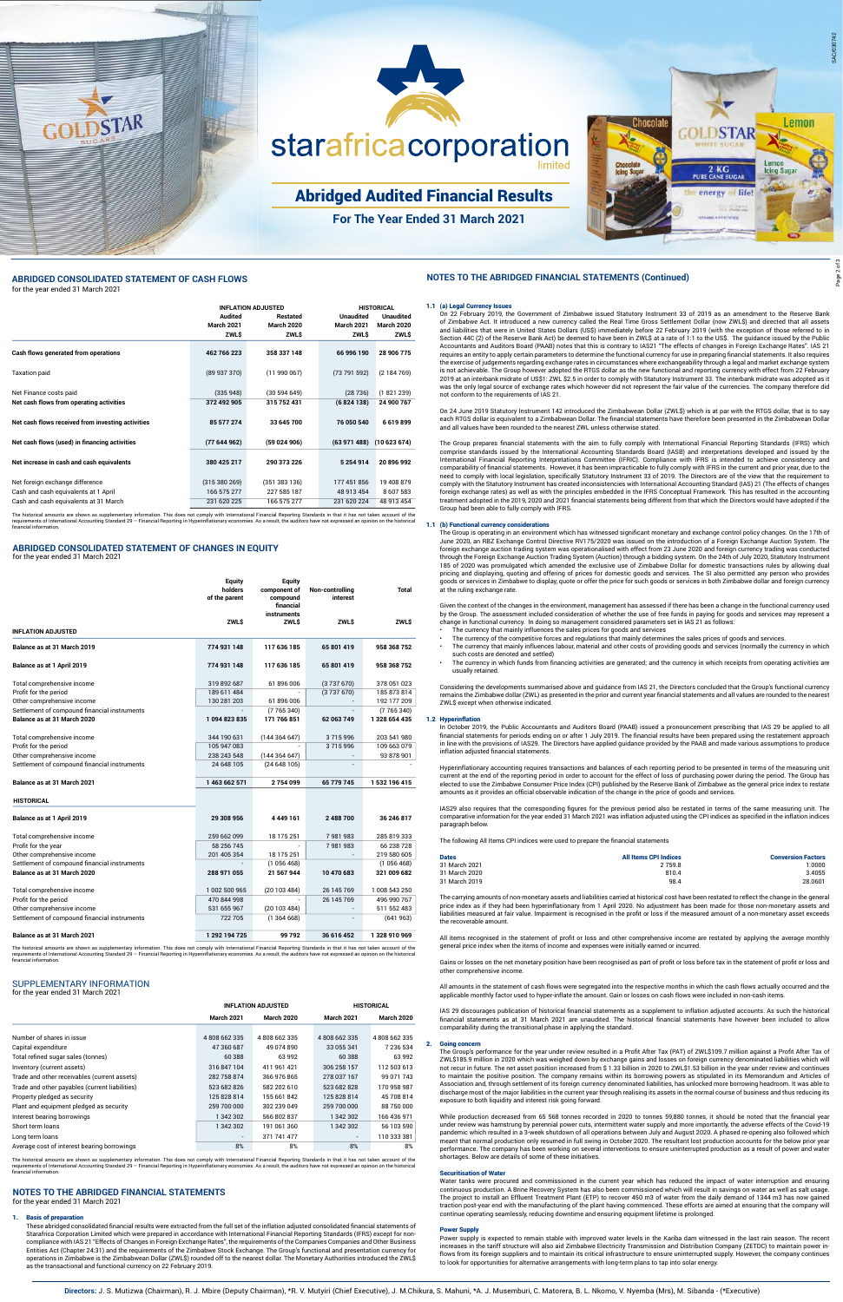# **NOTES TO THE ABRIDGED FINANCIAL STATEMENTS** for the year ended 31 March 2021

#### **Basis of preparation**

These abridged consolidated financial results were extracted from the full set of the inflation adjusted consolidated financial statements of Starafrica Corporation Limited which were prepared in accordance with International Financial Reporting Standards (IFRS) except for noncompliance with IAS 21 "Effects of Changes in Foreign Exchange Rates", the requirements of the Companies Companies and Other Business Entities Act (Chapter 24:31) and the requirements of the Zimbabwe Stock Exchange. The Group's functional and presentation currency for operations in Zimbabwe is the Zimbabwean Dollar (ZWL\$) rounded off to the nearest dollar. The Monetary Authorities introduced the ZWL\$ as the transactional and functional currency on 22 February 2019.

## SUPPLEMENTARY INFORMATION for the year ended 31 March 2021

|                                                | <b>INFLATION ADJUSTED</b> |                   | <b>HISTORICAL</b>        |                   |
|------------------------------------------------|---------------------------|-------------------|--------------------------|-------------------|
|                                                | <b>March 2021</b>         | <b>March 2020</b> | <b>March 2021</b>        | <b>March 2020</b> |
|                                                |                           |                   |                          |                   |
| Number of shares in issue                      | 4808662335                | 4808662335        | 4808662335               | 4808662335        |
| Capital expenditure                            | 47 360 687                | 49 074 890        | 33 055 341               | 7 236 534         |
| Total refined sugar sales (tonnes)             | 60 388                    | 63 992            | 60 388                   | 63 992            |
| Inventory (current assets)                     | 316 847 104               | 411 961 421       | 306 258 157              | 112 503 613       |
| Trade and other receivables (current assets)   | 282 758 874               | 366 976 865       | 278 037 167              | 99 071 743        |
| Trade and other payables (current liabilities) | 523 682 826               | 582 202 610       | 523 682 828              | 170 958 987       |
| Property pledged as security                   | 125 828 814               | 155 661 842       | 125 828 814              | 45 708 814        |
| Plant and equipment pledged as security        | 259 700 000               | 302 239 049       | 259 700 000              | 88 750 000        |
| Interest bearing borrowings                    | 1 342 302                 | 566 802 837       | 1 342 302                | 166 436 971       |
| Short term loans                               | 1 342 302                 | 191 061 360       | 1 342 302                | 56 103 590        |
| Long term loans                                | $\overline{\phantom{a}}$  | 371 741 477       | $\overline{\phantom{a}}$ | 110 333 381       |
| Average cost of interest bearing borrowings    | 8%                        | 8%                | 8%                       | 8%                |

### **ABRIDGED CONSOLIDATED STATEMENT OF CHANGES IN EQUITY**

for the year ended 31 March 2021

|                                              | <b>Equity</b><br>holders<br>of the parent | <b>Equity</b><br>component of<br>compound<br>financial | Non-controlling<br>interest | <b>Total</b>  |
|----------------------------------------------|-------------------------------------------|--------------------------------------------------------|-----------------------------|---------------|
|                                              | <b>ZWLS</b>                               | instruments<br><b>ZWLS</b>                             | <b>ZWLS</b>                 | <b>ZWLS</b>   |
| <b>INFLATION ADJUSTED</b>                    |                                           |                                                        |                             |               |
| Balance as at 31 March 2019                  | 774 931 148                               | 117 636 185                                            | 65 801 419                  | 958 368 752   |
| Balance as at 1 April 2019                   | 774 931 148                               | 117 636 185                                            | 65 801 419                  | 958 368 752   |
| Total comprehensive income                   | 319 892 687                               | 61 896 006                                             | (3737670)                   | 378 051 023   |
| Profit for the period                        | 189 611 484                               |                                                        | (3737670)                   | 185 873 814   |
| Other comprehensive income                   | 130 281 203                               | 61 896 006                                             |                             | 192 177 209   |
| Settlement of compound financial instruments |                                           | (7765340)                                              |                             | (7765340)     |
| Balance as at 31 March 2020                  | 1094823835                                | 171 766 851                                            | 62 063 749                  | 1328 654 435  |
| Total comprehensive income                   | 344 190 631                               | (144364647)                                            | 3715996                     | 203 541 980   |
| Profit for the period                        | 105 947 083                               |                                                        | 3715996                     | 109 663 079   |
| Other comprehensive income                   | 238 243 548                               | (144364647)                                            |                             | 93 878 901    |
| Settlement of compound financial instruments | 24 648 105                                | (24648105)                                             | $\overline{\phantom{a}}$    |               |
| Balance as at 31 March 2021                  | 1463 662 571                              | 2754099                                                | 65 779 745                  | 1 532 196 415 |

| Balance as at 1 April 2019                   | 29 308 956    | 4449161    | 2488700    | 36 246 817    |
|----------------------------------------------|---------------|------------|------------|---------------|
| Total comprehensive income                   | 259 662 099   | 18 175 251 | 7981983    | 285 819 333   |
| Profit for the year                          | 58 256 745    |            | 7981983    | 66 238 728    |
| Other comprehensive income                   | 201 405 354   | 18 175 251 |            | 219 580 605   |
| Settlement of compound financial instruments |               | (1056468)  |            | (1056468)     |
| Balance as at 31 March 2020                  | 288 971 055   | 21 567 944 | 10 470 683 | 321 009 682   |
| Total comprehensive income                   | 1 002 500 965 | (20103484) | 26 145 769 | 1 008 543 250 |
| Profit for the period                        | 470 844 998   |            | 26 145 769 | 496 990 767   |
| Other comprehensive income                   | 531 655 967   | (20103484) |            | 511 552 483   |
| Settlement of compound financial instruments | 722 705       | (1364668)  |            | (641963)      |
| Balance as at 31 March 2021                  | 1 292 194 725 | 99 792     | 36 616 452 | 1328910969    |

**HISTORICAL**

- The currency that mainly influences the sales prices for goods and services
- The currency of the competitive forces and regulations that mainly determines the sales prices of goods and services.
- The currency that mainly influences labour, material and other costs of providing goods and services (normally the currency in which such costs are denoted and settled)
- The currency in which funds from financing activities are generated; and the currency in which receipts from operating activities are usually retained.

1.1 (a) Legal Currency Issues On 22 February 2019, the Government of Zimbabwe issued Statutory Instrument 33 of 2019 as an amendment to the Reserve Bank of Zimbabwe Act. It introduced a new currency called the Real Time Gross Settlement Dollar (now ZWL\$) and directed that all assets and liabilities that were in United States Dollars (US\$) immediately before 22 February 2019 (with the exception of those referred to in Section 44C (2) of the Reserve Bank Act) be deemed to have been in ZWL\$ at a rate of 1:1 to the US\$. The guidance issued by the Public Accountants and Auditors Board (PAAB) notes that this is contrary to IAS21 "The effects of changes in Foreign Exchange Rates". IAS 21 requires an entity to apply certain parameters to determine the functional currency for use in preparing financial statements. It also requires the exercise of judgements regarding exchange rates in circumstances where exchangeability through a legal and market exchange system is not achievable. The Group however adopted the RTGS dollar as the new functional and reporting currency with effect from 22 February 2019 at an interbank midrate of US\$1: ZWL \$2.5 in order to comply with Statutory Instrument 33. The interbank midrate was adopted as it was the only legal source of exchange rates which however did not represent the fair value of the currencies. The company therefore did not conform to the requirements of IAS 21.

requires that the corresponding figures for the previous period also be restated in terms of the same measuring unit. The comparative information for the year ended 31 March 2021 was inflation adjusted using the CPI indices as specified in the inflation indices paragraph below.

On 24 June 2019 Statutory Instrument 142 introduced the Zimbabwean Dollar (ZWL\$) which is at par with the RTGS dollar, that is to say each RTGS dollar is equivalent to a Zimbabwean Dollar. The financial statements have therefore been presented in the Zimbabwean Dollar and all values have been rounded to the nearest ZWL unless otherwise stated.

All items recognised in the statement of profit or loss and other comprehensive income are restated by applying the average monthly general price index when the items of income and expenses were initially earned or incurred.

The Group prepares financial statements with the aim to fully comply with International Financial Reporting Standards (IFRS) which comprise standards issued by the International Accounting Standards Board (IASB) and interpretations developed and issued by the International Financial Reporting Interpretations Committee (IFRIC). Compliance with IFRS is intended to achieve consistency and comparability of financial statements. However, it has been impracticable to fully comply with IFRS in the current and prior year, due to the need to comply with local legislation, specifically Statutory Instrument 33 of 2019. The Directors are of the view that the requirement to comply with the Statutory Instrument has created inconsistencies with International Accounting Standard (IAS) 21 (The effects of changes foreign exchange rates) as well as with the principles embedded in the IFRS Conceptual Framework. This has resulted in the accounting treatment adopted in the 2019, 2020 and 2021 financial statements being different from that which the Directors would have adopted if the Group had been able to fully comply with IFRS.

#### 1.1 (b) Functional currency considerations

The Group is operating in an environment which has witnessed significant monetary and exchange control policy changes. On the 17th of June 2020, an RBZ Exchange Control Directive RV175/2020 was issued on the introduction of a Foreign Exchange Auction System. The foreign exchange auction trading system was operationalised with effect from 23 June 2020 and foreign currency trading was conducted through the Foreign Exchange Auction Trading System (Auction) through a bidding system. On the 24th of July 2020, Statutory Instrument 185 of 2020 was promulgated which amended the exclusive use of Zimbabwe Dollar for domestic transactions rules by allowing dual pricing and displaying, quoting and offering of prices for domestic goods and services. The SI also permitted any person who provides goods or services in Zimbabwe to display, quote or offer the price for such goods or services in both Zimbabwe dollar and foreign currency at the ruling exchange rate.

Given the context of the changes in the environment, management has assessed if there has been a change in the functional currency used by the Group. The assessment included consideration of whether the use of free funds in paying for goods and services may represent a change in functional currency. In doing so management considered parameters set in IAS 21 as follows:

The historical amounts are shown as supplementary information. This does not comply with International Financial Reporting Standards in that it has not taken account of the<br>requirements of International Accounting Standard financial information.

mounts are shown as supplementary information. This does not comply with International Financial Reporting Standards in that it has not taken account of the requirements of International Accounting Standard 29 – Financial Reporting in Hyperinflationary economies. As a result, the auditors have not expressed an opinion on the historical financial information.

The historical amounts are shown as supplementary information. This does not comply with International Financial Reporting Standards in that it has not taken account of the requirements of International Accounting Standard 29 – Financial Reporting in Hyperinflationary economies. As a result, the auditors have not expressed an opinion on the historical financial information.

 Considering the developments summarised above and guidance from IAS 21, the Directors concluded that the Group's functional currency remains the Zimbabwe dollar (ZWL) as presented in the prior and current year financial statements and all values are rounded to the nearest ZWL\$ except when otherwise indicated.

#### 1.2 Hyperinflation

In October 2019, the Public Accountants and Auditors Board (PAAB) issued a pronouncement prescribing that IAS 29 be applied to all financial statements for periods ending on or after 1 July 2019. The financial results have been prepared using the restatement approach in line with the provisions of IAS29. The Directors have applied guidance provided by the PAAB and made various assumptions to produce inflation adjusted financial statements.

Hyperinflationary accounting requires transactions and balances of each reporting period to be presented in terms of the measuring unit current at the end of the reporting period in order to account for the effect of loss of purchasing power during the period. The Group has elected to use the Zimbabwe Consumer Price Index (CPI) published by the Reserve Bank of Zimbabwe as the general price index to restate amounts as it provides an official observable indication of the change in the price of goods and services.

The following All Items CPI indices were used to prepare the financial statements

| <b>Dates</b>  | All Items CPI Indices | <b>Conversion Factors</b> |
|---------------|-----------------------|---------------------------|
| 31 March 2021 | 2 7 5 9.8             | 0000                      |
| 31 March 2020 | 810.4                 | 3.4055                    |
| 31 March 2019 | 98.4                  | 28.0601                   |

The carrying amounts of non-monetary assets and liabilities carried at historical cost have been restated to reflect the change in the general price index as if they had been hyperinflationary from 1 April 2020. No adjustment has been made for those non-monetary assets and liabilities measured at fair value. Impairment is recognised in the profit or loss if the measured amount of a non-monetary asset exceeds the recoverable amount.

Gains or losses on the net monetary position have been recognised as part of profit or loss before tax in the statement of profit or loss and other comprehensive income.

All amounts in the statement of cash flows were segregated into the respective months in which the cash flows actually occurred and the applicable monthly factor used to hyper-inflate the amount. Gain or losses on cash flows were included in non-cash items.

IAS 29 discourages publication of historical financial statements as a supplement to inflation adjusted accounts. As such the historical financial statements as at 31 March 2021 are unaudited. The historical financial statements have however been included to allow comparability during the transitional phase in applying the standard.

#### 2. Going concern

The Group's performance for the year under review resulted in a Profit After Tax (PAT) of ZWL\$109.7 million against a Profit After Tax of ZWL\$185.9 million in 2020 which was weighed down by exchange gains and losses on foreign currency denominated liabilities which will not recur in future. The net asset position increased from \$ 1.33 billion in 2020 to ZWL\$1.53 billion in the year under review and continues to maintain the positive position. The company remains within its borrowing powers as stipulated in its Memorandum and Articles of Association and, through settlement of its foreign currency denominated liabilities, has unlocked more borrowing headroom. It was able to discharge most of the major liabilities in the current year through realising its assets in the normal course of business and thus reducing its exposure to both liquidity and interest risk going forward.

While production decreased from 65 568 tonnes recorded in 2020 to tonnes 59,880 tonnes, it should be noted that the financial year under review was hamstrung by perennial power cuts, intermittent water supply and more importantly, the adverse effects of the Covid-19 pandemic which resulted in a 3-week shutdown of all operations between July and August 2020. A phased re-opening also followed which meant that normal production only resumed in full swing in October 2020. The resultant lost production accounts for the below prior year performance. The company has been working on several interventions to ensure uninterrupted production as a result of power and water shortages. Below are details of some of these initiatives.

#### Securitisation of Water

 Water tanks were procured and commissioned in the current year which has reduced the impact of water interruption and ensuring continuous production. A Brine Recovery System has also been commissioned which will result in savings on water as well as salt usage. The project to install an Effluent Treatment Plant (ETP) to recover 450 m3 of water from the daily demand of 1344 m3 has now gained traction post-year end with the manufacturing of the plant having commenced. These efforts are aimed at ensuring that the company will continue operating seamlessly, reducing downtime and ensuring equipment lifetime is prolonged.

#### Power Supply

Power supply is expected to remain stable with improved water levels in the Kariba dam witnessed in the last rain season. The recent increases in the tariff structure will also aid Zimbabwe Electricity Transmission and Distribution Company (ZETDC) to maintain power inflows from its foreign suppliers and to maintain its critical infrastructure to ensure uninterrupted supply. However, the company continues to look for opportunities for alternative arrangements with long-term plans to tap into solar energy.

|                                                   | <b>INFLATION ADJUSTED</b> |                   | <b>HISTORICAL</b> |                   |
|---------------------------------------------------|---------------------------|-------------------|-------------------|-------------------|
|                                                   | Audited                   | <b>Restated</b>   | <b>Unaudited</b>  | <b>Unaudited</b>  |
|                                                   | <b>March 2021</b>         | <b>March 2020</b> | <b>March 2021</b> | <b>March 2020</b> |
|                                                   | <b>ZWLS</b>               | <b>ZWLS</b>       | <b>ZWLS</b>       | ZWL\$             |
| Cash flows generated from operations              | 462 766 223               | 358 337 148       | 66 996 190        | 28 906 775        |
| <b>Taxation paid</b>                              | (89937370)                | (11990067)        | (73791592)        | (2184769)         |
| Net Finance costs paid                            | (335948)                  | (30594649)        | (28736)           | (1821239)         |
| Net cash flows from operating activities          | 372 492 905               | 315 752 431       | (6824138)         | 24 900 767        |
| Net cash flows received from investing activities | 85 577 274                | 33 645 700        | 76 050 540        | 6619899           |
| Net cash flows (used) in financing activities     | (77 644 962)              | (59024906)        | (63971488)        | (10623674)        |
| Net increase in cash and cash equivalents         | 380 425 217               | 290 373 226       | 5 2 5 4 9 1 4     | 20896992          |
| Net foreign exchange difference                   | (315380269)               | (351383136)       | 177 451 856       | 19 408 879        |
| Cash and cash equivalents at 1 April              | 166 575 277               | 227 585 187       | 48 913 454        | 8 607 583         |
| Cash and cash equivalents at 31 March             | 231 620 225               | 166 575 277       | 231 620 224       | 48 913 454        |



# **ABRIDGED CONSOLIDATED STATEMENT OF CASH FLOWS NOTES TO THE ABRIDGED FINANCIAL STATEMENTS (Continued)** for the year ended 31 March 2021